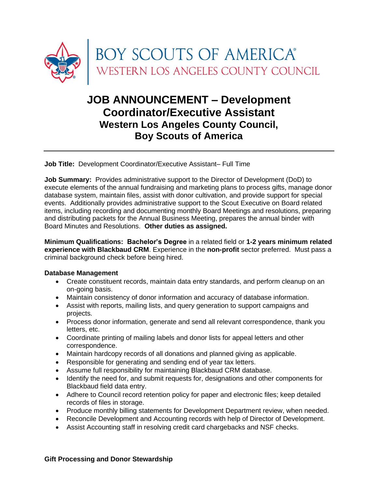

# **JOB ANNOUNCEMENT – Development Coordinator/Executive Assistant Western Los Angeles County Council, Boy Scouts of America**

**Job Title:** Development Coordinator/Executive Assistant– Full Time

**Job Summary:** Provides administrative support to the Director of Development (DoD) to execute elements of the annual fundraising and marketing plans to process gifts, manage donor database system, maintain files, assist with donor cultivation, and provide support for special events. Additionally provides administrative support to the Scout Executive on Board related items, including recording and documenting monthly Board Meetings and resolutions, preparing and distributing packets for the Annual Business Meeting, prepares the annual binder with Board Minutes and Resolutions. **Other duties as assigned.**

**Minimum Qualifications: Bachelor's Degree** in a related field or **1-2 years minimum related experience with Blackbaud CRM**. Experience in the **non-profit** sector preferred. Must pass a criminal background check before being hired.

#### **Database Management**

- Create constituent records, maintain data entry standards, and perform cleanup on an on-going basis.
- Maintain consistency of donor information and accuracy of database information.
- Assist with reports, mailing lists, and query generation to support campaigns and projects.
- Process donor information, generate and send all relevant correspondence, thank you letters, etc.
- Coordinate printing of mailing labels and donor lists for appeal letters and other correspondence.
- Maintain hardcopy records of all donations and planned giving as applicable.
- Responsible for generating and sending end of year tax letters.
- Assume full responsibility for maintaining Blackbaud CRM database.
- Identify the need for, and submit requests for, designations and other components for Blackbaud field data entry.
- Adhere to Council record retention policy for paper and electronic files; keep detailed records of files in storage.
- Produce monthly billing statements for Development Department review, when needed.
- Reconcile Development and Accounting records with help of Director of Development.
- Assist Accounting staff in resolving credit card chargebacks and NSF checks.